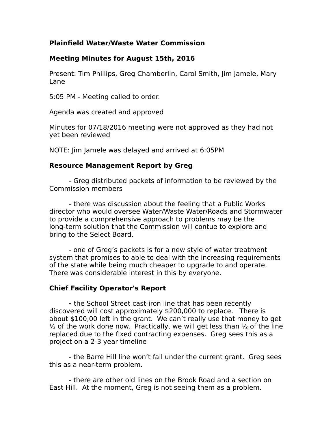# **Plainfield Water/Waste Water Commission**

### **Meeting Minutes for August 15th, 2016**

Present: Tim Phillips, Greg Chamberlin, Carol Smith, Jim Jamele, Mary Lane

5:05 PM - Meeting called to order.

Agenda was created and approved

Minutes for 07/18/2016 meeting were not approved as they had not yet been reviewed

NOTE: Jim Jamele was delayed and arrived at 6:05PM

#### **Resource Management Report by Greg**

- Greg distributed packets of information to be reviewed by the Commission members

- there was discussion about the feeling that a Public Works director who would oversee Water/Waste Water/Roads and Stormwater to provide a comprehensive approach to problems may be the long-term solution that the Commission will contue to explore and bring to the Select Board.

- one of Greg's packets is for a new style of water treatment system that promises to able to deal with the increasing requirements of the state while being much cheaper to upgrade to and operate. There was considerable interest in this by everyone.

## **Chief Facility Operator's Report**

**-** the School Street cast-iron line that has been recently discovered will cost approximately \$200,000 to replace. There is about \$100,00 left in the grant. We can't really use that money to get  $\frac{1}{2}$  of the work done now. Practically, we will get less than  $\frac{1}{2}$  of the line replaced due to the fixed contracting expenses. Greg sees this as a project on a 2-3 year timeline

- the Barre Hill line won't fall under the current grant. Greg sees this as a near-term problem.

- there are other old lines on the Brook Road and a section on East Hill. At the moment, Greg is not seeing them as a problem.